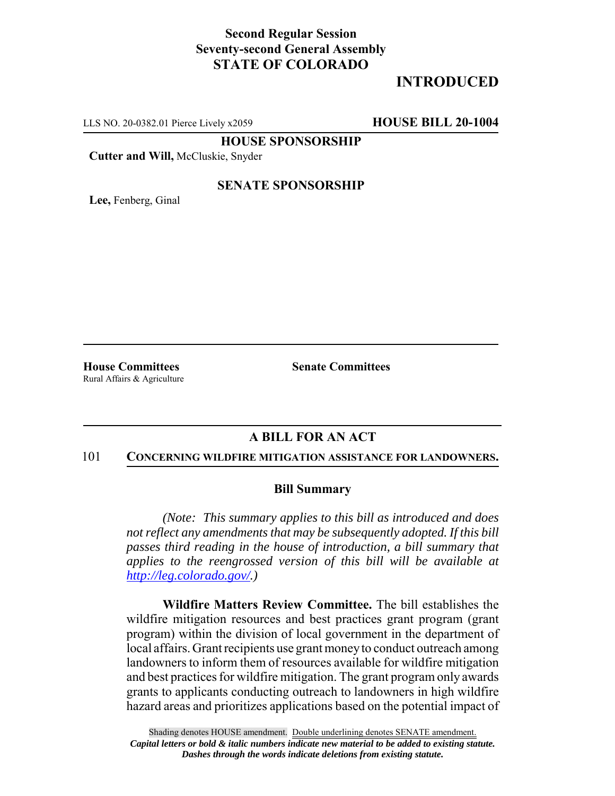# **Second Regular Session Seventy-second General Assembly STATE OF COLORADO**

# **INTRODUCED**

LLS NO. 20-0382.01 Pierce Lively x2059 **HOUSE BILL 20-1004**

**HOUSE SPONSORSHIP**

**Cutter and Will,** McCluskie, Snyder

#### **SENATE SPONSORSHIP**

**Lee,** Fenberg, Ginal

Rural Affairs & Agriculture

**House Committees Senate Committees** 

## **A BILL FOR AN ACT**

#### 101 **CONCERNING WILDFIRE MITIGATION ASSISTANCE FOR LANDOWNERS.**

### **Bill Summary**

*(Note: This summary applies to this bill as introduced and does not reflect any amendments that may be subsequently adopted. If this bill passes third reading in the house of introduction, a bill summary that applies to the reengrossed version of this bill will be available at http://leg.colorado.gov/.)*

**Wildfire Matters Review Committee.** The bill establishes the wildfire mitigation resources and best practices grant program (grant program) within the division of local government in the department of local affairs. Grant recipients use grant money to conduct outreach among landowners to inform them of resources available for wildfire mitigation and best practices for wildfire mitigation. The grant program only awards grants to applicants conducting outreach to landowners in high wildfire hazard areas and prioritizes applications based on the potential impact of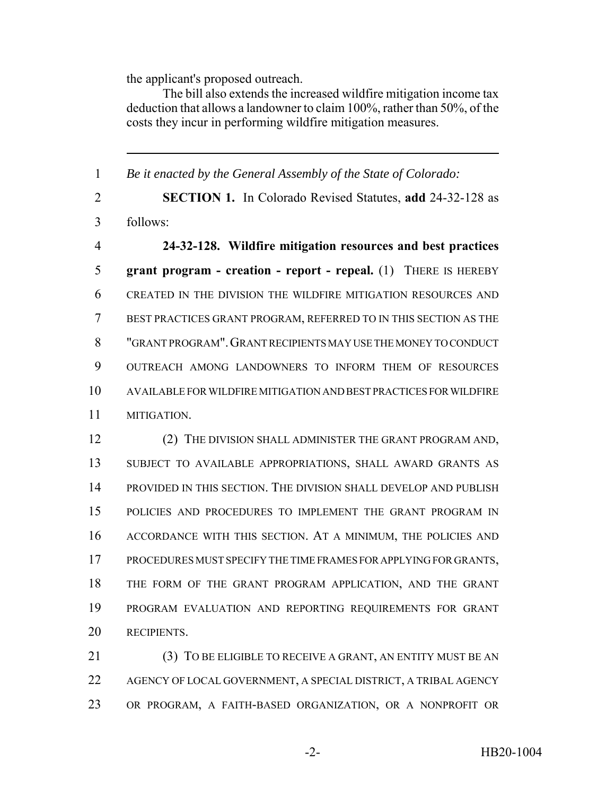the applicant's proposed outreach.

The bill also extends the increased wildfire mitigation income tax deduction that allows a landowner to claim 100%, rather than 50%, of the costs they incur in performing wildfire mitigation measures.

 *Be it enacted by the General Assembly of the State of Colorado:* **SECTION 1.** In Colorado Revised Statutes, **add** 24-32-128 as follows: **24-32-128. Wildfire mitigation resources and best practices grant program - creation - report - repeal.** (1) THERE IS HEREBY CREATED IN THE DIVISION THE WILDFIRE MITIGATION RESOURCES AND BEST PRACTICES GRANT PROGRAM, REFERRED TO IN THIS SECTION AS THE "GRANT PROGRAM".GRANT RECIPIENTS MAY USE THE MONEY TO CONDUCT OUTREACH AMONG LANDOWNERS TO INFORM THEM OF RESOURCES AVAILABLE FOR WILDFIRE MITIGATION AND BEST PRACTICES FOR WILDFIRE MITIGATION. (2) THE DIVISION SHALL ADMINISTER THE GRANT PROGRAM AND, SUBJECT TO AVAILABLE APPROPRIATIONS, SHALL AWARD GRANTS AS PROVIDED IN THIS SECTION. THE DIVISION SHALL DEVELOP AND PUBLISH POLICIES AND PROCEDURES TO IMPLEMENT THE GRANT PROGRAM IN ACCORDANCE WITH THIS SECTION. AT A MINIMUM, THE POLICIES AND PROCEDURES MUST SPECIFY THE TIME FRAMES FOR APPLYING FOR GRANTS, THE FORM OF THE GRANT PROGRAM APPLICATION, AND THE GRANT PROGRAM EVALUATION AND REPORTING REQUIREMENTS FOR GRANT RECIPIENTS.

21 (3) TO BE ELIGIBLE TO RECEIVE A GRANT, AN ENTITY MUST BE AN AGENCY OF LOCAL GOVERNMENT, A SPECIAL DISTRICT, A TRIBAL AGENCY OR PROGRAM, A FAITH-BASED ORGANIZATION, OR A NONPROFIT OR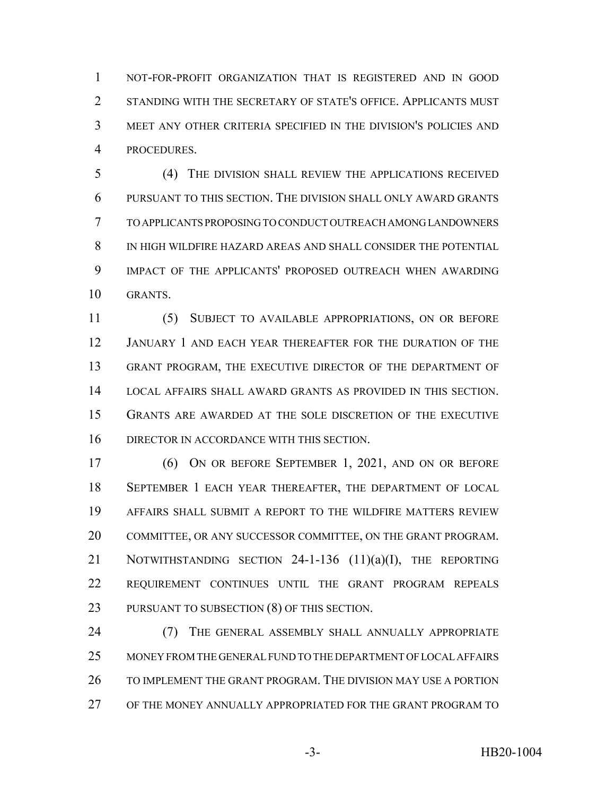NOT-FOR-PROFIT ORGANIZATION THAT IS REGISTERED AND IN GOOD STANDING WITH THE SECRETARY OF STATE'S OFFICE. APPLICANTS MUST MEET ANY OTHER CRITERIA SPECIFIED IN THE DIVISION'S POLICIES AND PROCEDURES.

 (4) THE DIVISION SHALL REVIEW THE APPLICATIONS RECEIVED PURSUANT TO THIS SECTION. THE DIVISION SHALL ONLY AWARD GRANTS TO APPLICANTS PROPOSING TO CONDUCT OUTREACH AMONG LANDOWNERS IN HIGH WILDFIRE HAZARD AREAS AND SHALL CONSIDER THE POTENTIAL IMPACT OF THE APPLICANTS' PROPOSED OUTREACH WHEN AWARDING GRANTS.

 (5) SUBJECT TO AVAILABLE APPROPRIATIONS, ON OR BEFORE JANUARY 1 AND EACH YEAR THEREAFTER FOR THE DURATION OF THE GRANT PROGRAM, THE EXECUTIVE DIRECTOR OF THE DEPARTMENT OF LOCAL AFFAIRS SHALL AWARD GRANTS AS PROVIDED IN THIS SECTION. GRANTS ARE AWARDED AT THE SOLE DISCRETION OF THE EXECUTIVE DIRECTOR IN ACCORDANCE WITH THIS SECTION.

 (6) ON OR BEFORE SEPTEMBER 1, 2021, AND ON OR BEFORE SEPTEMBER 1 EACH YEAR THEREAFTER, THE DEPARTMENT OF LOCAL AFFAIRS SHALL SUBMIT A REPORT TO THE WILDFIRE MATTERS REVIEW COMMITTEE, OR ANY SUCCESSOR COMMITTEE, ON THE GRANT PROGRAM. 21 NOTWITHSTANDING SECTION 24-1-136 (11)(a)(I), THE REPORTING REQUIREMENT CONTINUES UNTIL THE GRANT PROGRAM REPEALS PURSUANT TO SUBSECTION (8) OF THIS SECTION.

24 (7) THE GENERAL ASSEMBLY SHALL ANNUALLY APPROPRIATE MONEY FROM THE GENERAL FUND TO THE DEPARTMENT OF LOCAL AFFAIRS TO IMPLEMENT THE GRANT PROGRAM. THE DIVISION MAY USE A PORTION OF THE MONEY ANNUALLY APPROPRIATED FOR THE GRANT PROGRAM TO